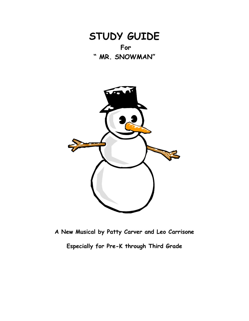



**A New Musical by Patty Carver and Leo Carrisone**

**Especially for Pre-K through Third Grade**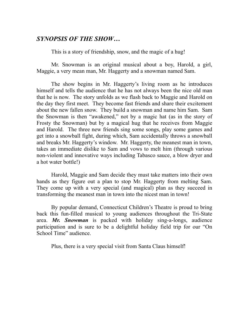# *SYNOPSIS OF THE SHOW…*

This is a story of friendship, snow, and the magic of a hug!

Mr. Snowman is an original musical about a boy, Harold, a girl, Maggie, a very mean man, Mr. Haggerty and a snowman named Sam.

 The show begins in Mr. Haggerty's living room as he introduces himself and tells the audience that he has not always been the nice old man that he is now. The story unfolds as we flash back to Maggie and Harold on the day they first meet. They become fast friends and share their excitement about the new fallen snow. They build a snowman and name him Sam. Sam the Snowman is then "awakened," not by a magic hat (as in the story of Frosty the Snowman) but by a magical hug that he receives from Maggie and Harold. The three new friends sing some songs, play some games and get into a snowball fight, during which, Sam accidentally throws a snowball and breaks Mr. Haggerty's window. Mr. Haggerty, the meanest man in town, takes an immediate dislike to Sam and vows to melt him (through various non-violent and innovative ways including Tabasco sauce, a blow dryer and a hot water bottle!)

 Harold, Maggie and Sam decide they must take matters into their own hands as they figure out a plan to stop Mr. Haggerty from melting Sam. They come up with a very special (and magical) plan as they succeed in transforming the meanest man in town into the nicest man in town!

 By popular demand, Connecticut Children's Theatre is proud to bring back this fun-filled musical to young audiences throughout the Tri-State area. *Mr. Snowman* is packed with holiday sing-a-longs, audience participation and is sure to be a delightful holiday field trip for our "On School Time" audience.

Plus, there is a very special visit from Santa Claus himself!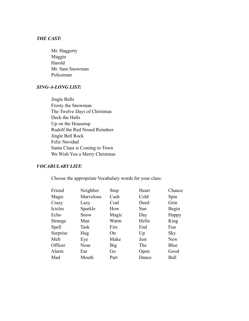## *THE CAST:*

 Mr. Haggerty Maggie Harold Mr. Sam Snowman Policeman

### *SING-A-LONG LIST:*

 Jingle Bells Frosty the Snowman The Twelve Days of Christmas Deck the Halls Up on the Housetop Rudolf the Red Nosed Reindeer Jingle Bell Rock Feliz Navidad Santa Claus is Coming to Town We Wish You a Merry Christmas

#### *VOCABULARY LIST:*

Choose the appropriate Vocabulary words for your class:

| Friend       | Neighbor    | <b>Stop</b> | Heart | Chance     |
|--------------|-------------|-------------|-------|------------|
| Magic        | Marvelous   | Cash        | Cold  | Spin       |
| Crazy        | Lazy        | Coal        | Deed  | Grin       |
| Icicles      | Sparkle     | How         | Sun   | Begin      |
| Echo         | Snow        | Magic       | Day   | Happy      |
| Strange      | Man         | Warm        | Hello | King       |
| <b>Spell</b> | Task        | Fire        | End   | Fun        |
| Surprise     | Hug         | On          | Up    | Sky        |
| Melt         | Eye         | Make        | Just  | <b>New</b> |
| Officer      | <b>Nose</b> | Big         | The   | Blue       |
| Alarm        | Ear         | Go          | Open  | Good       |
| Mad          | Mouth       | Part        | Dance | Ball       |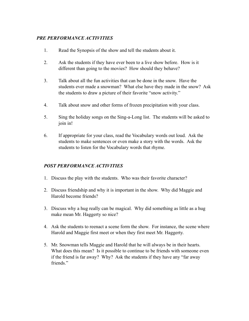## *PRE PERFORMANCE ACTIVITIES*

- 1. Read the Synopsis of the show and tell the students about it.
- 2. Ask the students if they have ever been to a live show before. How is it different than going to the movies? How should they behave?
- 3. Talk about all the fun activities that can be done in the snow. Have the students ever made a snowman? What else have they made in the snow? Ask the students to draw a picture of their favorite "snow activity."
- 4. Talk about snow and other forms of frozen precipitation with your class.
- 5. Sing the holiday songs on the Sing-a-Long list. The students will be asked to join in!
- 6. If appropriate for your class, read the Vocabulary words out loud. Ask the students to make sentences or even make a story with the words. Ask the students to listen for the Vocabulary words that rhyme.

### *POST PERFORMANCE ACTIVITIES*

- 1. Discuss the play with the students. Who was their favorite character?
- 2. Discuss friendship and why it is important in the show. Why did Maggie and Harold become friends?
- 3. Discuss why a hug really can be magical. Why did something as little as a hug make mean Mr. Haggerty so nice?
- 4. Ask the students to reenact a scene form the show. For instance, the scene where Harold and Maggie first meet or when they first meet Mr. Haggerty.
- 5. Mr. Snowman tells Maggie and Harold that he will always be in their hearts. What does this mean? Is it possible to continue to be friends with someone even if the friend is far away? Why? Ask the students if they have any "far away friends."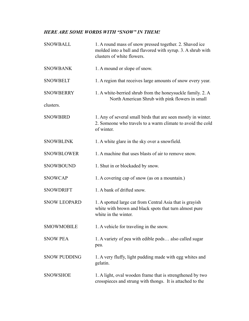# *HERE ARE SOME WORDS WITH "SNOW" IN THEM!*

| <b>SNOWBALL</b>     | 1. A round mass of snow pressed together. 2. Shaved ice<br>molded into a ball and flavored with syrup. 3. A shrub with<br>clusters of white flowers. |  |
|---------------------|------------------------------------------------------------------------------------------------------------------------------------------------------|--|
| <b>SNOWBANK</b>     | 1. A mound or slope of snow.                                                                                                                         |  |
| <b>SNOWBELT</b>     | 1. A region that receives large amounts of snow every year.                                                                                          |  |
| <b>SNOWBERRY</b>    | 1. A white-berried shrub from the honeysuckle family. 2. A<br>North American Shrub with pink flowers in small                                        |  |
| clusters.           |                                                                                                                                                      |  |
| <b>SNOWBIRD</b>     | 1. Any of several small birds that are seen mostly in winter.<br>2. Someone who travels to a warm climate to avoid the cold<br>of winter.            |  |
| <b>SNOWBLINK</b>    | 1. A white glare in the sky over a snowfield.                                                                                                        |  |
| <b>SNOWBLOWER</b>   | 1. A machine that uses blasts of air to remove snow.                                                                                                 |  |
| <b>SNOWBOUND</b>    | 1. Shut in or blockaded by snow.                                                                                                                     |  |
| <b>SNOWCAP</b>      | 1. A covering cap of snow (as on a mountain.)                                                                                                        |  |
| <b>SNOWDRIFT</b>    | 1. A bank of drifted snow.                                                                                                                           |  |
| <b>SNOW LEOPARD</b> | 1. A spotted large cat from Central Asia that is grayish<br>white with brown and black spots that turn almost pure<br>white in the winter.           |  |
| <b>SMOWMOBILE</b>   | 1. A vehicle for traveling in the snow.                                                                                                              |  |
| <b>SNOW PEA</b>     | 1. A variety of pea with edible pods also called sugar<br>pea.                                                                                       |  |
| <b>SNOW PUDDING</b> | 1. A very fluffy, light pudding made with egg whites and<br>gelatin.                                                                                 |  |
| <b>SNOWSHOE</b>     | 1. A light, oval wooden frame that is strengthened by two<br>crosspieces and strung with thongs. It is attached to the                               |  |